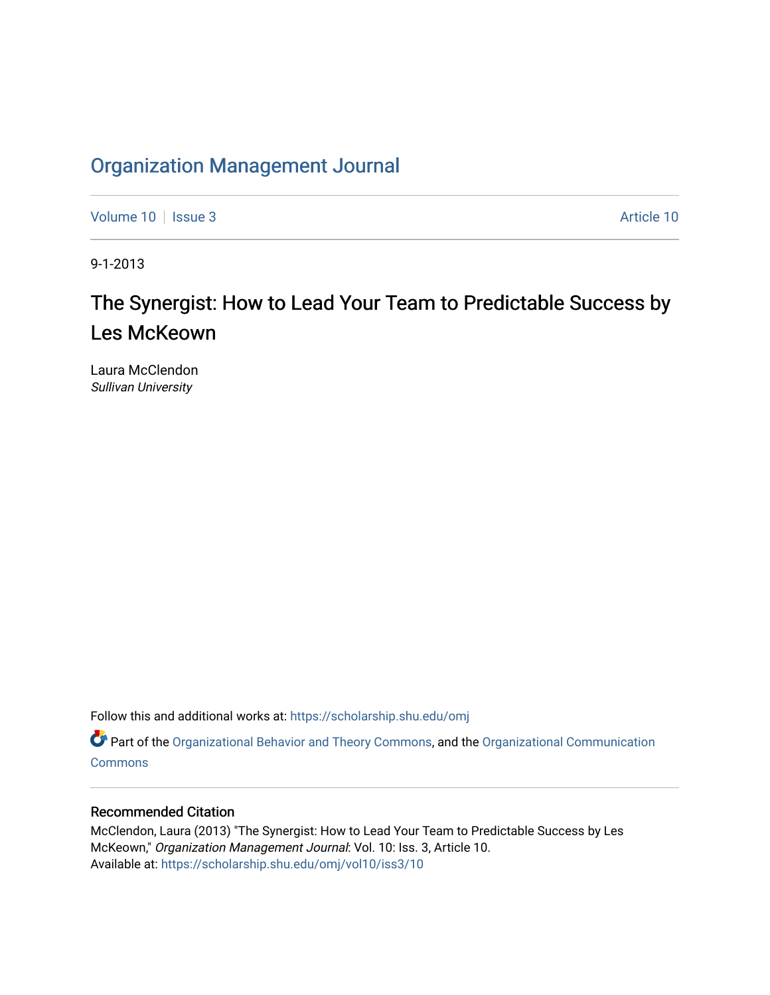# [Organization Management Journal](https://scholarship.shu.edu/omj)

[Volume 10](https://scholarship.shu.edu/omj/vol10) | [Issue 3](https://scholarship.shu.edu/omj/vol10/iss3) Article 10

9-1-2013

# The Synergist: How to Lead Your Team to Predictable Success by Les McKeown

Laura McClendon Sullivan University

Follow this and additional works at: [https://scholarship.shu.edu/omj](https://scholarship.shu.edu/omj?utm_source=scholarship.shu.edu%2Fomj%2Fvol10%2Fiss3%2F10&utm_medium=PDF&utm_campaign=PDFCoverPages) 

Part of the [Organizational Behavior and Theory Commons,](http://network.bepress.com/hgg/discipline/639?utm_source=scholarship.shu.edu%2Fomj%2Fvol10%2Fiss3%2F10&utm_medium=PDF&utm_campaign=PDFCoverPages) and the [Organizational Communication](http://network.bepress.com/hgg/discipline/335?utm_source=scholarship.shu.edu%2Fomj%2Fvol10%2Fiss3%2F10&utm_medium=PDF&utm_campaign=PDFCoverPages) **[Commons](http://network.bepress.com/hgg/discipline/335?utm_source=scholarship.shu.edu%2Fomj%2Fvol10%2Fiss3%2F10&utm_medium=PDF&utm_campaign=PDFCoverPages)** 

# Recommended Citation

McClendon, Laura (2013) "The Synergist: How to Lead Your Team to Predictable Success by Les McKeown," Organization Management Journal: Vol. 10: Iss. 3, Article 10. Available at: [https://scholarship.shu.edu/omj/vol10/iss3/10](https://scholarship.shu.edu/omj/vol10/iss3/10?utm_source=scholarship.shu.edu%2Fomj%2Fvol10%2Fiss3%2F10&utm_medium=PDF&utm_campaign=PDFCoverPages)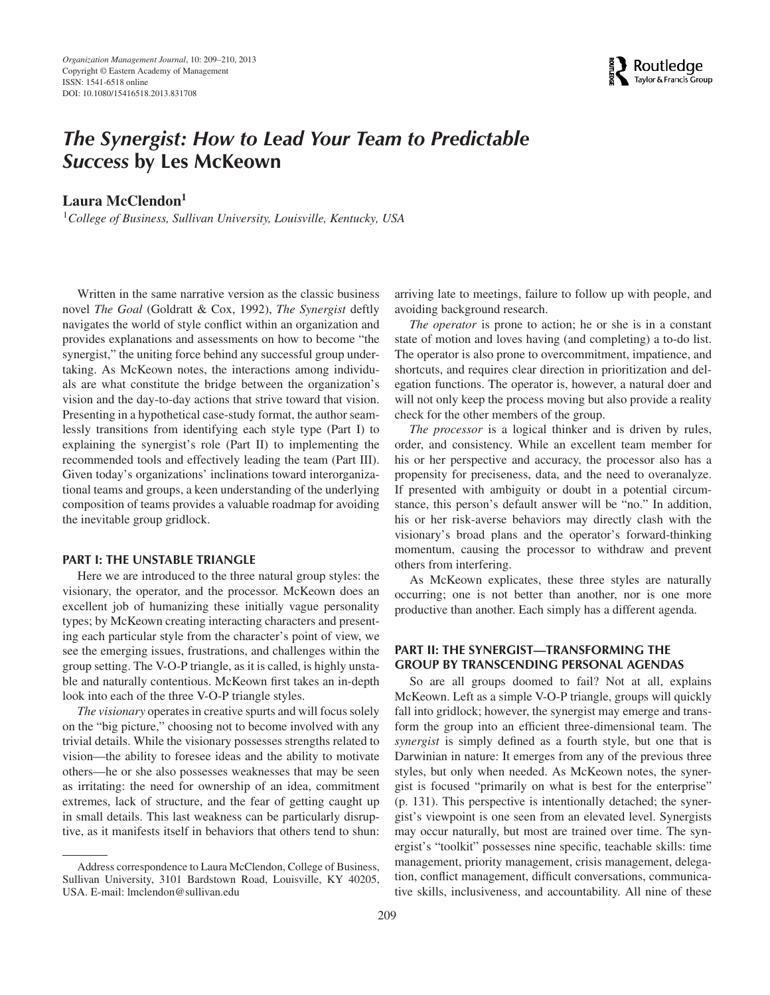

# *The Synergist: How to Lead Your Team to Predictable Success* **by Les McKeown**

**Laura McClendon<sup>1</sup>**

<sup>1</sup>*College of Business, Sullivan University, Louisville, Kentucky, USA*

Written in the same narrative version as the classic business novel *The Goal* (Goldratt & Cox, 1992), *The Synergist* deftly navigates the world of style conflict within an organization and provides explanations and assessments on how to become "the synergist," the uniting force behind any successful group undertaking. As McKeown notes, the interactions among individuals are what constitute the bridge between the organization's vision and the day-to-day actions that strive toward that vision. Presenting in a hypothetical case-study format, the author seamlessly transitions from identifying each style type (Part I) to explaining the synergist's role (Part II) to implementing the recommended tools and effectively leading the team (Part III). Given today's organizations' inclinations toward interorganizational teams and groups, a keen understanding of the underlying composition of teams provides a valuable roadmap for avoiding the inevitable group gridlock.

### **PART I: THE UNSTABLE TRIANGLE**

Here we are introduced to the three natural group styles: the visionary, the operator, and the processor. McKeown does an excellent job of humanizing these initially vague personality types; by McKeown creating interacting characters and presenting each particular style from the character's point of view, we see the emerging issues, frustrations, and challenges within the group setting. The V-O-P triangle, as it is called, is highly unstable and naturally contentious. McKeown first takes an in-depth look into each of the three V-O-P triangle styles.

*The visionary* operates in creative spurts and will focus solely on the "big picture," choosing not to become involved with any trivial details. While the visionary possesses strengths related to vision—the ability to foresee ideas and the ability to motivate others—he or she also possesses weaknesses that may be seen as irritating: the need for ownership of an idea, commitment extremes, lack of structure, and the fear of getting caught up in small details. This last weakness can be particularly disruptive, as it manifests itself in behaviors that others tend to shun:

arriving late to meetings, failure to follow up with people, and avoiding background research.

*The operator* is prone to action; he or she is in a constant state of motion and loves having (and completing) a to-do list. The operator is also prone to overcommitment, impatience, and shortcuts, and requires clear direction in prioritization and delegation functions. The operator is, however, a natural doer and will not only keep the process moving but also provide a reality check for the other members of the group.

*The processor* is a logical thinker and is driven by rules, order, and consistency. While an excellent team member for his or her perspective and accuracy, the processor also has a propensity for preciseness, data, and the need to overanalyze. If presented with ambiguity or doubt in a potential circumstance, this person's default answer will be "no." In addition, his or her risk-averse behaviors may directly clash with the visionary's broad plans and the operator's forward-thinking momentum, causing the processor to withdraw and prevent others from interfering.

As McKeown explicates, these three styles are naturally occurring; one is not better than another, nor is one more productive than another. Each simply has a different agenda.

## **PART II: THE SYNERGIST—TRANSFORMING THE GROUP BY TRANSCENDING PERSONAL AGENDAS**

So are all groups doomed to fail? Not at all, explains McKeown. Left as a simple V-O-P triangle, groups will quickly fall into gridlock; however, the synergist may emerge and transform the group into an efficient three-dimensional team. The *synergist* is simply defined as a fourth style, but one that is Darwinian in nature: It emerges from any of the previous three styles, but only when needed. As McKeown notes, the synergist is focused "primarily on what is best for the enterprise" (p. 131). This perspective is intentionally detached; the synergist's viewpoint is one seen from an elevated level. Synergists may occur naturally, but most are trained over time. The synergist's "toolkit" possesses nine specific, teachable skills: time management, priority management, crisis management, delegation, conflict management, difficult conversations, communicative skills, inclusiveness, and accountability. All nine of these

Address correspondence to Laura McClendon, College of Business, Sullivan University, 3101 Bardstown Road, Louisville, KY 40205, USA. E-mail: lmclendon@sullivan.edu